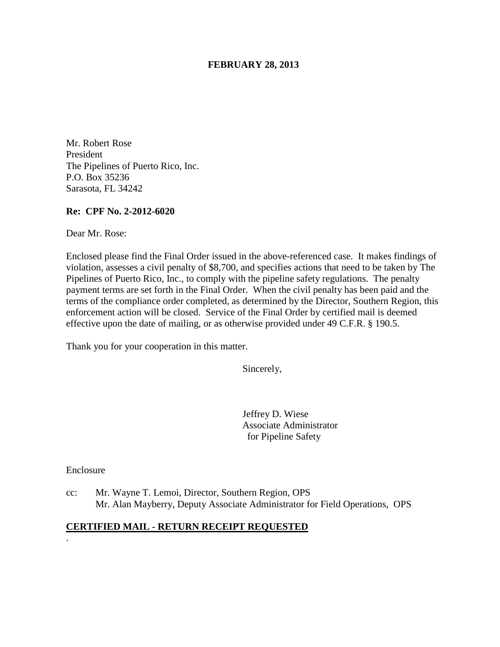### **FEBRUARY 28, 2013**

Mr. Robert Rose President The Pipelines of Puerto Rico, Inc. P.O. Box 35236 Sarasota, FL 34242

### **Re: CPF No. 2-2012-6020**

Dear Mr. Rose:

Enclosed please find the Final Order issued in the above-referenced case. It makes findings of violation, assesses a civil penalty of \$8,700, and specifies actions that need to be taken by The Pipelines of Puerto Rico, Inc., to comply with the pipeline safety regulations. The penalty payment terms are set forth in the Final Order. When the civil penalty has been paid and the terms of the compliance order completed, as determined by the Director, Southern Region, this enforcement action will be closed. Service of the Final Order by certified mail is deemed effective upon the date of mailing, or as otherwise provided under 49 C.F.R. § 190.5.

Thank you for your cooperation in this matter.

Sincerely,

Jeffrey D. Wiese Associate Administrator for Pipeline Safety

Enclosure

.

cc: Mr. Wayne T. Lemoi, Director, Southern Region, OPS Mr. Alan Mayberry, Deputy Associate Administrator for Field Operations, OPS

### **CERTIFIED MAIL - RETURN RECEIPT REQUESTED**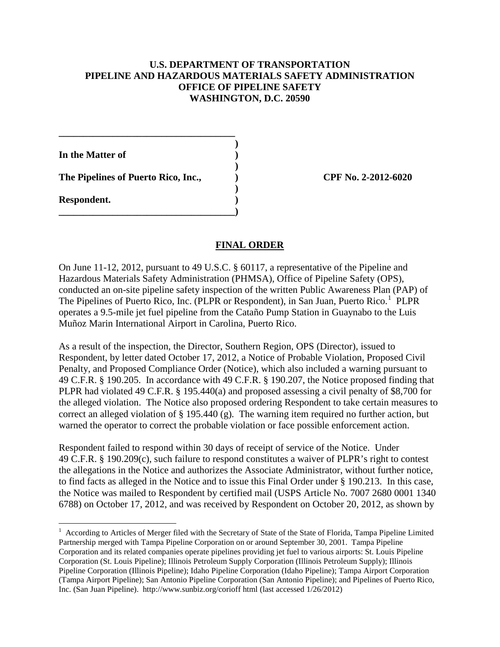# **U.S. DEPARTMENT OF TRANSPORTATION PIPELINE AND HAZARDOUS MATERIALS SAFETY ADMINISTRATION OFFICE OF PIPELINE SAFETY WASHINGTON, D.C. 20590**

**In the Matter of )** 

The Pipelines of Puerto Rico, Inc.,  $\qquad \qquad$  CPF No. 2-2012-6020

**\_\_\_\_\_\_\_\_\_\_\_\_\_\_\_\_\_\_\_\_\_\_\_\_\_\_\_\_\_\_\_\_\_\_\_\_ )** 

 **)** 

 **)** 

**\_\_\_\_\_\_\_\_\_\_\_\_\_\_\_\_\_\_\_\_\_\_\_\_\_\_\_\_\_\_\_\_\_\_\_\_)** 

**Respondent. )** 

# **FINAL ORDER**

On June 11-12, 2012, pursuant to 49 U.S.C. § 60117, a representative of the Pipeline and Hazardous Materials Safety Administration (PHMSA), Office of Pipeline Safety (OPS), conducted an on-site pipeline safety inspection of the written Public Awareness Plan (PAP) of The Pipelines of Puerto Rico, Inc. (PLPR or Respondent), in San Juan, Puerto Rico.<sup>1</sup> PLPR operates a 9.5-mile jet fuel pipeline from the Cataño Pump Station in Guaynabo to the Luis Muñoz Marin International Airport in Carolina, Puerto Rico.

As a result of the inspection, the Director, Southern Region, OPS (Director), issued to Respondent, by letter dated October 17, 2012, a Notice of Probable Violation, Proposed Civil Penalty, and Proposed Compliance Order (Notice), which also included a warning pursuant to 49 C.F.R. § 190.205. In accordance with 49 C.F.R. § 190.207, the Notice proposed finding that PLPR had violated 49 C.F.R. § 195.440(a) and proposed assessing a civil penalty of \$8,700 for the alleged violation. The Notice also proposed ordering Respondent to take certain measures to correct an alleged violation of § 195.440 (g). The warning item required no further action, but warned the operator to correct the probable violation or face possible enforcement action.

Respondent failed to respond within 30 days of receipt of service of the Notice. Under 49 C.F.R. § 190.209(c), such failure to respond constitutes a waiver of PLPR's right to contest the allegations in the Notice and authorizes the Associate Administrator, without further notice, to find facts as alleged in the Notice and to issue this Final Order under § 190.213. In this case, the Notice was mailed to Respondent by certified mail (USPS Article No. 7007 2680 0001 1340 6788) on October 17, 2012, and was received by Respondent on October 20, 2012, as shown by

<sup>&</sup>lt;sup>1</sup> According to Articles of Merger filed with the Secretary of State of the State of Florida, Tampa Pipeline Limited Partnership merged with Tampa Pipeline Corporation on or around September 30, 2001. Tampa Pipeline Corporation and its related companies operate pipelines providing jet fuel to various airports: St. Louis Pipeline Corporation (St. Louis Pipeline); Illinois Petroleum Supply Corporation (Illinois Petroleum Supply); Illinois Pipeline Corporation (Illinois Pipeline); Idaho Pipeline Corporation (Idaho Pipeline); Tampa Airport Corporation (Tampa Airport Pipeline); San Antonio Pipeline Corporation (San Antonio Pipeline); and Pipelines of Puerto Rico, Inc. (San Juan Pipeline). http://www.sunbiz.org/corioff html (last accessed 1/26/2012)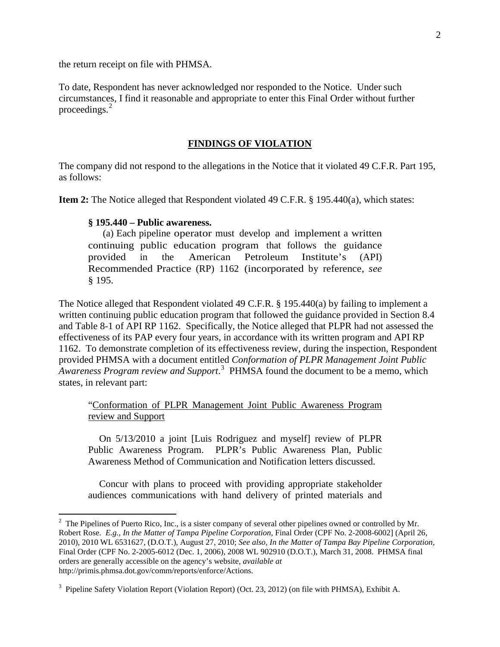the return receipt on file with PHMSA.

To date, Respondent has never acknowledged nor responded to the Notice. Under such circumstances, I find it reasonable and appropriate to enter this Final Order without further proceedings. $2$ 

### **FINDINGS OF VIOLATION**

The company did not respond to the allegations in the Notice that it violated 49 C.F.R. Part 195, as follows:

**Item 2:** The Notice alleged that Respondent violated 49 C.F.R. § 195.440(a), which states:

#### **§ 195.440 – Public awareness.**

(a) Each pipeline operator must develop and implement a written continuing public education program that follows the guidance provided in the American Petroleum Institute's (API) Recommended Practice (RP) 1162 (incorporated by reference, *see*  § 195.

The Notice alleged that Respondent violated 49 C.F.R. § 195.440(a) by failing to implement a written continuing public education program that followed the guidance provided in Section 8.4 and Table 8-1 of API RP 1162. Specifically, the Notice alleged that PLPR had not assessed the effectiveness of its PAP every four years, in accordance with its written program and API RP 1162. To demonstrate completion of its effectiveness review, during the inspection, Respondent provided PHMSA with a document entitled *Conformation of PLPR Management Joint Public*  Awareness Program review and Support.<sup>3</sup> PHMSA found the document to be a memo, which states, in relevant part:

"Conformation of PLPR Management Joint Public Awareness Program review and Support

On 5/13/2010 a joint [Luis Rodriguez and myself] review of PLPR Public Awareness Program. PLPR's Public Awareness Plan, Public Awareness Method of Communication and Notification letters discussed.

Concur with plans to proceed with providing appropriate stakeholder audiences communications with hand delivery of printed materials and

<sup>&</sup>lt;sup>2</sup> The Pipelines of Puerto Rico, Inc., is a sister company of several other pipelines owned or controlled by Mr. Robert Rose. *E.g., In the Matter of Tampa Pipeline Corporation,* Final Order (CPF No. 2-2008-6002] (April 26, 2010), 2010 WL 6531627, (D.O.T.), August 27, 2010; *See also, In the Matter of Tampa Bay Pipeline Corporation,*  Final Order (CPF No. 2-2005-6012 (Dec. 1, 2006), 2008 WL 902910 (D.O.T.), March 31, 2008. PHMSA final orders are generally accessible on the agency's website, *available at* http://primis.phmsa.dot.gov/comm/reports/enforce/Actions.

<sup>&</sup>lt;sup>3</sup> Pipeline Safety Violation Report (Violation Report) (Oct. 23, 2012) (on file with PHMSA), Exhibit A.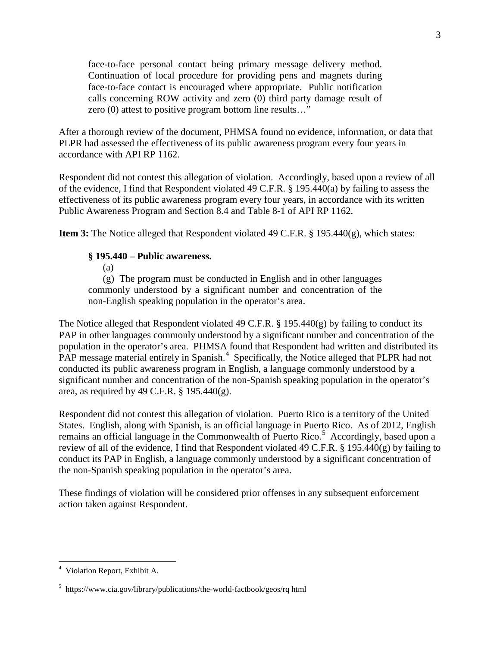face-to-face personal contact being primary message delivery method. Continuation of local procedure for providing pens and magnets during face-to-face contact is encouraged where appropriate. Public notification calls concerning ROW activity and zero (0) third party damage result of zero (0) attest to positive program bottom line results…"

After a thorough review of the document, PHMSA found no evidence, information, or data that PLPR had assessed the effectiveness of its public awareness program every four years in accordance with API RP 1162.

Respondent did not contest this allegation of violation. Accordingly, based upon a review of all of the evidence, I find that Respondent violated 49 C.F.R. § 195.440(a) by failing to assess the effectiveness of its public awareness program every four years, in accordance with its written Public Awareness Program and Section 8.4 and Table 8-1 of API RP 1162.

**Item 3:** The Notice alleged that Respondent violated 49 C.F.R. § 195.440(g), which states:

# **§ 195.440 – Public awareness.**

(a)

(g) The program must be conducted in English and in other languages commonly understood by a significant number and concentration of the non-English speaking population in the operator's area.

The Notice alleged that Respondent violated 49 C.F.R. § 195.440(g) by failing to conduct its PAP in other languages commonly understood by a significant number and concentration of the population in the operator's area. PHMSA found that Respondent had written and distributed its PAP message material entirely in Spanish.<sup>4</sup> Specifically, the Notice alleged that PLPR had not conducted its public awareness program in English, a language commonly understood by a significant number and concentration of the non-Spanish speaking population in the operator's area, as required by 49 C.F.R. § 195.440(g).

Respondent did not contest this allegation of violation. Puerto Rico is a territory of the United States. English, along with Spanish, is an official language in Puerto Rico. As of 2012, English remains an official language in the Commonwealth of Puerto Rico.<sup>5</sup> Accordingly, based upon a review of all of the evidence, I find that Respondent violated 49 C.F.R. § 195.440(g) by failing to conduct its PAP in English, a language commonly understood by a significant concentration of the non-Spanish speaking population in the operator's area.

These findings of violation will be considered prior offenses in any subsequent enforcement action taken against Respondent.

 $\overline{a}$ 

<sup>4</sup> Violation Report, Exhibit A.

<sup>5</sup> https://www.cia.gov/library/publications/the-world-factbook/geos/rq html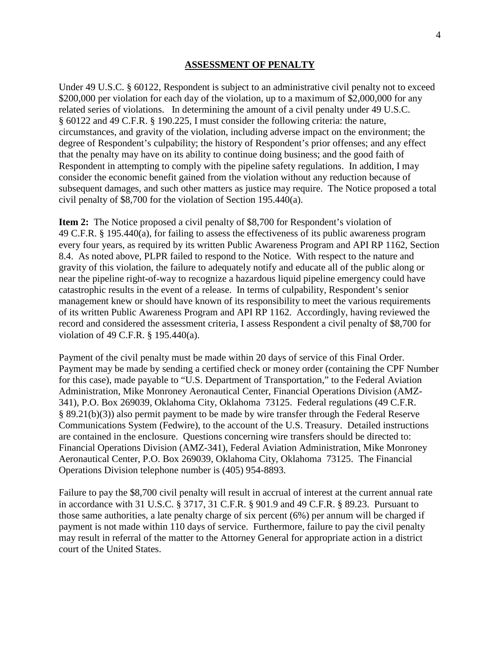#### **ASSESSMENT OF PENALTY**

Under 49 U.S.C. § 60122, Respondent is subject to an administrative civil penalty not to exceed \$200,000 per violation for each day of the violation, up to a maximum of \$2,000,000 for any related series of violations. In determining the amount of a civil penalty under 49 U.S.C. § 60122 and 49 C.F.R. § 190.225, I must consider the following criteria: the nature, circumstances, and gravity of the violation, including adverse impact on the environment; the degree of Respondent's culpability; the history of Respondent's prior offenses; and any effect that the penalty may have on its ability to continue doing business; and the good faith of Respondent in attempting to comply with the pipeline safety regulations. In addition, I may consider the economic benefit gained from the violation without any reduction because of subsequent damages, and such other matters as justice may require. The Notice proposed a total civil penalty of \$8,700 for the violation of Section 195.440(a).

**Item 2:** The Notice proposed a civil penalty of \$8,700 for Respondent's violation of 49 C.F.R. § 195.440(a), for failing to assess the effectiveness of its public awareness program every four years, as required by its written Public Awareness Program and API RP 1162, Section 8.4. As noted above, PLPR failed to respond to the Notice. With respect to the nature and gravity of this violation, the failure to adequately notify and educate all of the public along or near the pipeline right-of-way to recognize a hazardous liquid pipeline emergency could have catastrophic results in the event of a release. In terms of culpability, Respondent's senior management knew or should have known of its responsibility to meet the various requirements of its written Public Awareness Program and API RP 1162. Accordingly, having reviewed the record and considered the assessment criteria, I assess Respondent a civil penalty of \$8,700 for violation of 49 C.F.R. § 195.440(a).

Payment of the civil penalty must be made within 20 days of service of this Final Order. Payment may be made by sending a certified check or money order (containing the CPF Number for this case), made payable to "U.S. Department of Transportation," to the Federal Aviation Administration, Mike Monroney Aeronautical Center, Financial Operations Division (AMZ-341), P.O. Box 269039, Oklahoma City, Oklahoma 73125. Federal regulations (49 C.F.R. § 89.21(b)(3)) also permit payment to be made by wire transfer through the Federal Reserve Communications System (Fedwire), to the account of the U.S. Treasury. Detailed instructions are contained in the enclosure. Questions concerning wire transfers should be directed to: Financial Operations Division (AMZ-341), Federal Aviation Administration, Mike Monroney Aeronautical Center, P.O. Box 269039, Oklahoma City, Oklahoma 73125. The Financial Operations Division telephone number is (405) 954-8893.

Failure to pay the \$8,700 civil penalty will result in accrual of interest at the current annual rate in accordance with 31 U.S.C. § 3717, 31 C.F.R. § 901.9 and 49 C.F.R. § 89.23. Pursuant to those same authorities, a late penalty charge of six percent (6%) per annum will be charged if payment is not made within 110 days of service. Furthermore, failure to pay the civil penalty may result in referral of the matter to the Attorney General for appropriate action in a district court of the United States.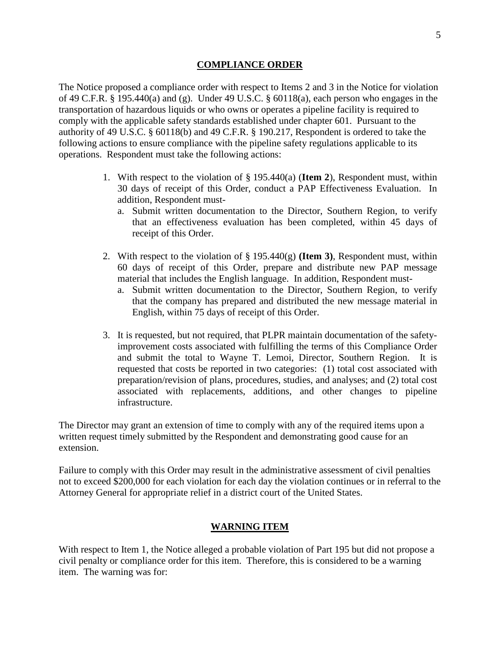#### **COMPLIANCE ORDER**

The Notice proposed a compliance order with respect to Items 2 and 3 in the Notice for violation of 49 C.F.R. § 195.440(a) and (g). Under 49 U.S.C. § 60118(a), each person who engages in the transportation of hazardous liquids or who owns or operates a pipeline facility is required to comply with the applicable safety standards established under chapter 601. Pursuant to the authority of 49 U.S.C. § 60118(b) and 49 C.F.R. § 190.217, Respondent is ordered to take the following actions to ensure compliance with the pipeline safety regulations applicable to its operations. Respondent must take the following actions:

- 1. With respect to the violation of § 195.440(a) (**Item 2**), Respondent must, within 30 days of receipt of this Order, conduct a PAP Effectiveness Evaluation. In addition, Respondent must
	- a. Submit written documentation to the Director, Southern Region, to verify that an effectiveness evaluation has been completed, within 45 days of receipt of this Order.
- 2. With respect to the violation of § 195.440(g) **(Item 3)**, Respondent must, within 60 days of receipt of this Order, prepare and distribute new PAP message material that includes the English language. In addition, Respondent must
	- a. Submit written documentation to the Director, Southern Region, to verify that the company has prepared and distributed the new message material in English, within 75 days of receipt of this Order.
- 3. It is requested, but not required, that PLPR maintain documentation of the safetyimprovement costs associated with fulfilling the terms of this Compliance Order and submit the total to Wayne T. Lemoi, Director, Southern Region. It is requested that costs be reported in two categories: (1) total cost associated with preparation/revision of plans, procedures, studies, and analyses; and (2) total cost associated with replacements, additions, and other changes to pipeline infrastructure.

The Director may grant an extension of time to comply with any of the required items upon a written request timely submitted by the Respondent and demonstrating good cause for an extension.

Failure to comply with this Order may result in the administrative assessment of civil penalties not to exceed \$200,000 for each violation for each day the violation continues or in referral to the Attorney General for appropriate relief in a district court of the United States.

# **WARNING ITEM**

With respect to Item 1, the Notice alleged a probable violation of Part 195 but did not propose a civil penalty or compliance order for this item. Therefore, this is considered to be a warning item. The warning was for: